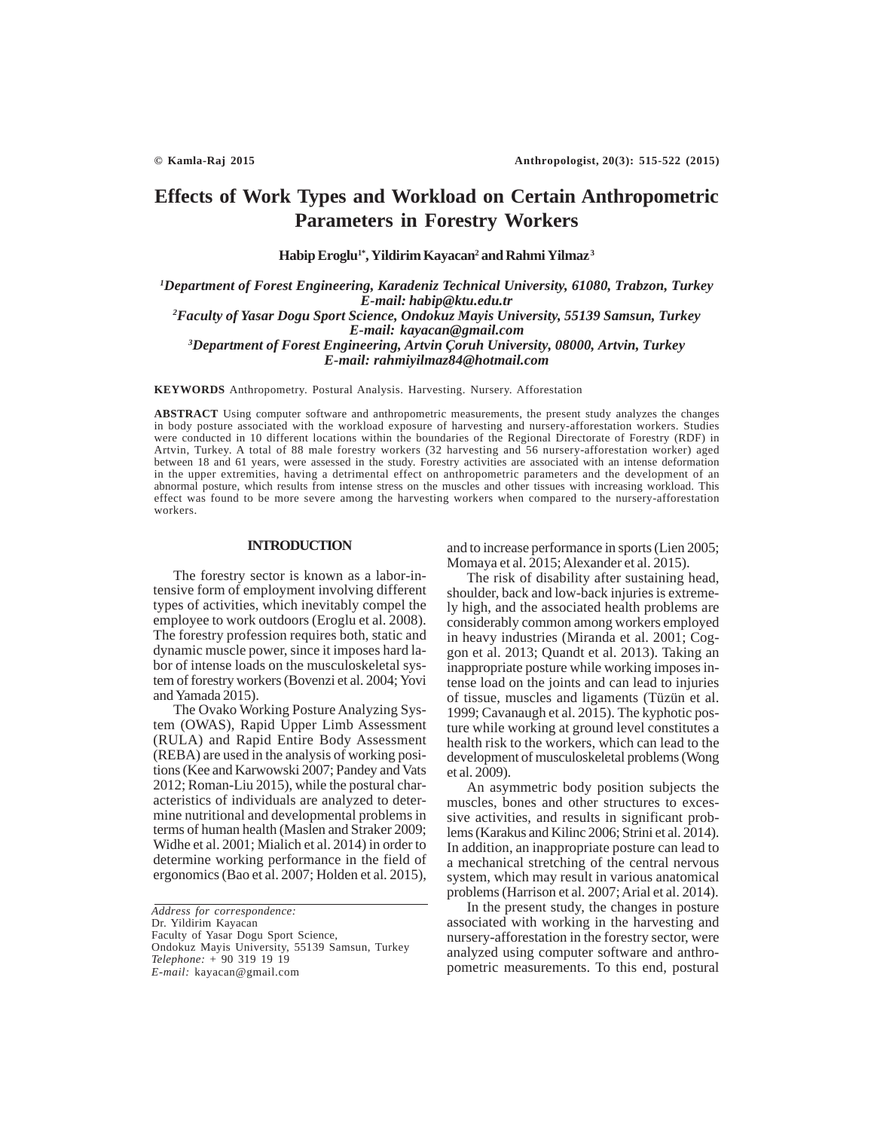# **Effects of Work Types and Workload on Certain Anthropometric Parameters in Forestry Workers**

**Habip Eroglu1\*, Yildirim Kayacan2 and Rahmi Yilmaz 3**

*1 Department of Forest Engineering, Karadeniz Technical University, 61080, Trabzon, Turkey E-mail: habip@ktu.edu.tr*

*2 Faculty of Yasar Dogu Sport Science, Ondokuz Mayis University, 55139 Samsun, Turkey E-mail: kayacan@gmail.com*

*3 Department of Forest Engineering, Artvin Çoruh University, 08000, Artvin, Turkey E-mail: rahmiyilmaz84@hotmail.com*

**KEYWORDS** Anthropometry. Postural Analysis. Harvesting. Nursery. Afforestation

**ABSTRACT** Using computer software and anthropometric measurements, the present study analyzes the changes in body posture associated with the workload exposure of harvesting and nursery-afforestation workers. Studies were conducted in 10 different locations within the boundaries of the Regional Directorate of Forestry (RDF) in Artvin, Turkey. A total of 88 male forestry workers (32 harvesting and 56 nursery-afforestation worker) aged between 18 and 61 years, were assessed in the study. Forestry activities are associated with an intense deformation in the upper extremities, having a detrimental effect on anthropometric parameters and the development of an abnormal posture, which results from intense stress on the muscles and other tissues with increasing workload. This effect was found to be more severe among the harvesting workers when compared to the nursery-afforestation workers.

#### **INTRODUCTION**

The forestry sector is known as a labor-intensive form of employment involving different types of activities, which inevitably compel the employee to work outdoors (Eroglu et al. 2008). The forestry profession requires both, static and dynamic muscle power, since it imposes hard labor of intense loads on the musculoskeletal system of forestry workers (Bovenzi et al. 2004; Yovi and Yamada 2015).

The Ovako Working Posture Analyzing System (OWAS), Rapid Upper Limb Assessment (RULA) and Rapid Entire Body Assessment (REBA) are used in the analysis of working positions (Kee and Karwowski 2007; Pandey and Vats 2012; Roman-Liu 2015), while the postural characteristics of individuals are analyzed to determine nutritional and developmental problems in terms of human health (Maslen and Straker 2009; Widhe et al. 2001; Mialich et al. 2014) in order to determine working performance in the field of ergonomics (Bao et al. 2007; Holden et al. 2015),

*Address for correspondence:* Dr. Yildirim Kayacan Faculty of Yasar Dogu Sport Science, Ondokuz Mayis University, 55139 Samsun, Turkey *Telephone:* + 90 319 19 19 *E-mail:* kayacan@gmail.com

and to increase performance in sports (Lien 2005; Momaya et al. 2015; Alexander et al. 2015).

The risk of disability after sustaining head, shoulder, back and low-back injuries is extremely high, and the associated health problems are considerably common among workers employed in heavy industries (Miranda et al. 2001; Coggon et al. 2013; Quandt et al. 2013). Taking an inappropriate posture while working imposes intense load on the joints and can lead to injuries of tissue, muscles and ligaments (Tüzün et al. 1999; Cavanaugh et al. 2015). The kyphotic posture while working at ground level constitutes a health risk to the workers, which can lead to the development of musculoskeletal problems (Wong et al. 2009).

An asymmetric body position subjects the muscles, bones and other structures to excessive activities, and results in significant problems (Karakus and Kilinc 2006; Strini et al. 2014). In addition, an inappropriate posture can lead to a mechanical stretching of the central nervous system, which may result in various anatomical problems (Harrison et al. 2007; Arial et al. 2014).

In the present study, the changes in posture associated with working in the harvesting and nursery-afforestation in the forestry sector, were analyzed using computer software and anthropometric measurements. To this end, postural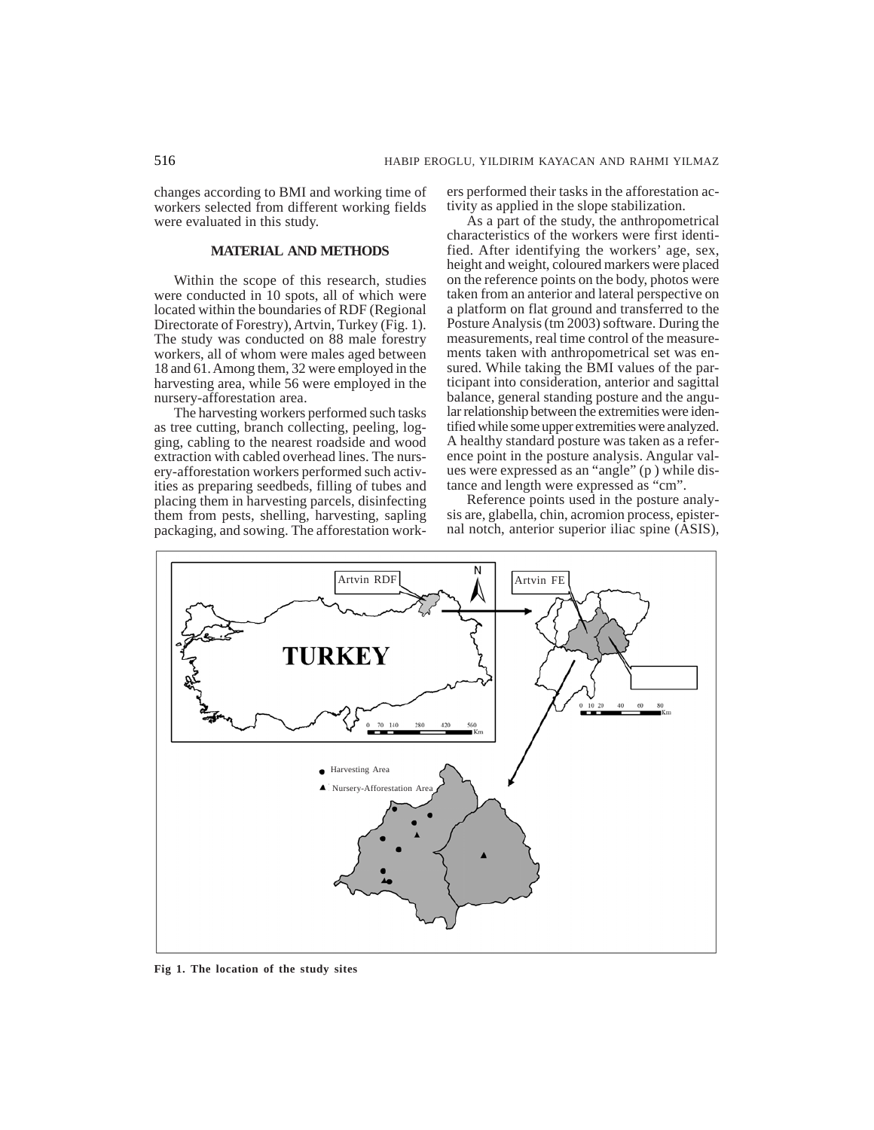changes according to BMI and working time of workers selected from different working fields were evaluated in this study.

## **MATERIAL AND METHODS**

Within the scope of this research, studies were conducted in 10 spots, all of which were located within the boundaries of RDF (Regional Directorate of Forestry), Artvin, Turkey (Fig. 1). The study was conducted on 88 male forestry workers, all of whom were males aged between 18 and 61. Among them, 32 were employed in the harvesting area, while 56 were employed in the nursery-afforestation area.

The harvesting workers performed such tasks as tree cutting, branch collecting, peeling, logging, cabling to the nearest roadside and wood extraction with cabled overhead lines. The nursery-afforestation workers performed such activities as preparing seedbeds, filling of tubes and placing them in harvesting parcels, disinfecting them from pests, shelling, harvesting, sapling packaging, and sowing. The afforestation workers performed their tasks in the afforestation activity as applied in the slope stabilization.

As a part of the study, the anthropometrical characteristics of the workers were first identified. After identifying the workers' age, sex, height and weight, coloured markers were placed on the reference points on the body, photos were taken from an anterior and lateral perspective on a platform on flat ground and transferred to the Posture Analysis (tm 2003) software. During the measurements, real time control of the measurements taken with anthropometrical set was ensured. While taking the BMI values of the participant into consideration, anterior and sagittal balance, general standing posture and the angular relationship between the extremities were identified while some upper extremities were analyzed. A healthy standard posture was taken as a reference point in the posture analysis. Angular values were expressed as an "angle" (p ) while distance and length were expressed as "cm".

Reference points used in the posture analysis are, glabella, chin, acromion process, episternal notch, anterior superior iliac spine (ASIS),



**Fig 1. The location of the study sites**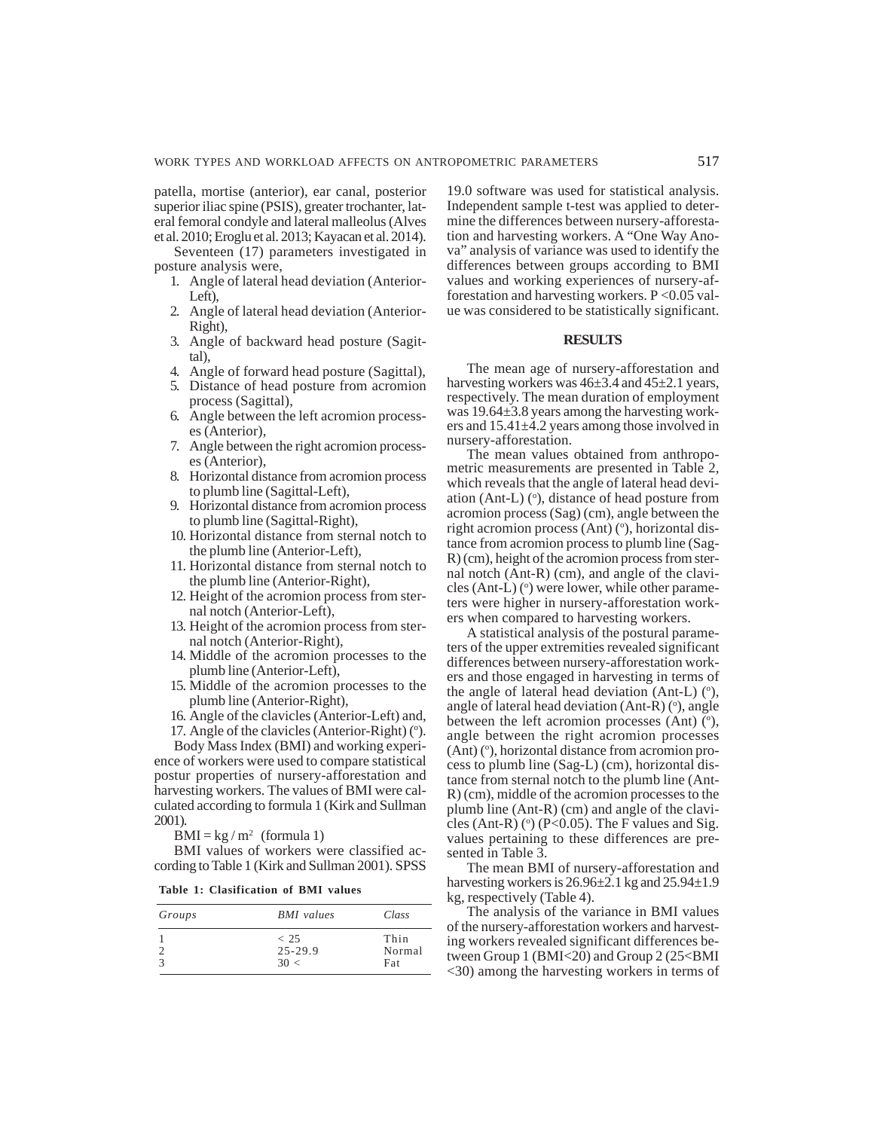patella, mortise (anterior), ear canal, posterior superior iliac spine (PSIS), greater trochanter, lateral femoral condyle and lateral malleolus (Alves et al. 2010; Eroglu et al. 2013; Kayacan et al. 2014).

Seventeen (17) parameters investigated in posture analysis were,

- 1. Angle of lateral head deviation (Anterior-Left),
- 2. Angle of lateral head deviation (Anterior-Right),
- 3. Angle of backward head posture (Sagittal),
- 4. Angle of forward head posture (Sagittal),
- 5. Distance of head posture from acromion process (Sagittal),
- 6. Angle between the left acromion processes (Anterior),
- 7. Angle between the right acromion processes (Anterior),
- 8. Horizontal distance from acromion process to plumb line (Sagittal-Left),
- 9. Horizontal distance from acromion process to plumb line (Sagittal-Right),
- 10. Horizontal distance from sternal notch to the plumb line (Anterior-Left),
- 11. Horizontal distance from sternal notch to the plumb line (Anterior-Right),
- 12. Height of the acromion process from sternal notch (Anterior-Left),
- 13. Height of the acromion process from sternal notch (Anterior-Right),
- 14. Middle of the acromion processes to the plumb line (Anterior-Left),
- 15. Middle of the acromion processes to the plumb line (Anterior-Right),
- 16. Angle of the clavicles (Anterior-Left) and,
- 17. Angle of the clavicles (Anterior-Right) $(°)$ . Body Mass Index (BMI) and working experi-

ence of workers were used to compare statistical postur properties of nursery-afforestation and harvesting workers. The values of BMI were calculated according to formula 1 (Kirk and Sullman 2001).

 $BMI = kg/m^2$  (formula 1)

BMI values of workers were classified according to Table 1 (Kirk and Sullman 2001). SPSS

**Table 1: Clasification of BMI values**

| Groups | <b>BMI</b> values       | Class                 |
|--------|-------------------------|-----------------------|
|        | < 25<br>25-29.9<br>30 < | Thin<br>Normal<br>Fat |

19.0 software was used for statistical analysis. Independent sample t-test was applied to determine the differences between nursery-afforestation and harvesting workers. A "One Way Anova" analysis of variance was used to identify the differences between groups according to BMI values and working experiences of nursery-afforestation and harvesting workers.  $P < 0.05$  value was considered to be statistically significant.

#### **RESULTS**

The mean age of nursery-afforestation and harvesting workers was 46±3.4 and 45±2.1 years, respectively. The mean duration of employment was 19.64 $\pm$ 3.8 years among the harvesting workers and 15.41±4.2 years among those involved in nursery-afforestation.

The mean values obtained from anthropometric measurements are presented in Table 2, which reveals that the angle of lateral head deviation (Ant-L) $(°)$ , distance of head posture from acromion process (Sag) (cm), angle between the right acromion process (Ant) (°), horizontal distance from acromion process to plumb line (Sag-R) (cm), height of the acromion process from sternal notch (Ant-R) (cm), and angle of the clavi $cles (Ant-L) (°) were lower, while other parame$ ters were higher in nursery-afforestation workers when compared to harvesting workers.

A statistical analysis of the postural parameters of the upper extremities revealed significant differences between nursery-afforestation workers and those engaged in harvesting in terms of the angle of lateral head deviation (Ant-L)  $(°)$ , angle of lateral head deviation  $(Ant-R)$  ( $\circ$ ), angle between the left acromion processes (Ant)  $\bar{(^{\circ}})$ , angle between the right acromion processes (Ant) (°), horizontal distance from acromion process to plumb line (Sag-L) (cm), horizontal distance from sternal notch to the plumb line (Ant-R) (cm), middle of the acromion processes to the plumb line (Ant-R) (cm) and angle of the clavicles (Ant-R) ( $\degree$ ) (P<0.05). The F values and Sig. values pertaining to these differences are presented in Table 3.

The mean BMI of nursery-afforestation and harvesting workers is  $26.96\pm2.1$  kg and  $25.94\pm1.9$ kg, respectively (Table 4).

The analysis of the variance in BMI values of the nursery-afforestation workers and harvesting workers revealed significant differences between Group 1 (BMI<20) and Group 2 (25<BMI <30) among the harvesting workers in terms of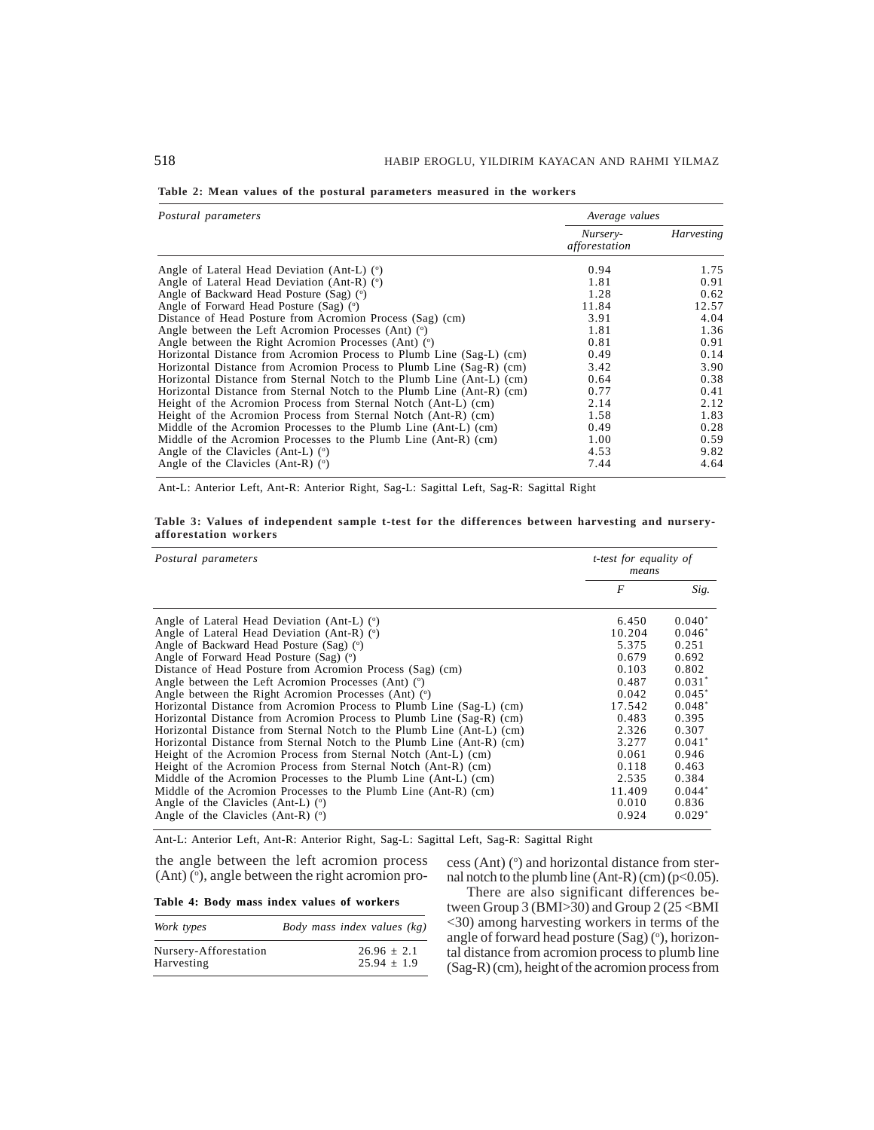| Table 2: Mean values of the postural parameters measured in the workers |  |
|-------------------------------------------------------------------------|--|
|-------------------------------------------------------------------------|--|

| Postural parameters                                                   | Average values            |                   |
|-----------------------------------------------------------------------|---------------------------|-------------------|
|                                                                       | Nursery-<br>afforestation | <b>Harvesting</b> |
| Angle of Lateral Head Deviation (Ant-L) $(°)$                         | 0.94                      | 1.75              |
| Angle of Lateral Head Deviation (Ant-R) $(°)$                         | 1.81                      | 0.91              |
| Angle of Backward Head Posture (Sag) (°)                              | 1.28                      | 0.62              |
| Angle of Forward Head Posture (Sag) (°)                               | 11.84                     | 12.57             |
| Distance of Head Posture from Acromion Process (Sag) (cm)             | 3.91                      | 4.04              |
| Angle between the Left Acromion Processes (Ant) (°)                   | 1.81                      | 1.36              |
| Angle between the Right Acromion Processes (Ant) $(°)$                | 0.81                      | 0.91              |
| Horizontal Distance from Acromion Process to Plumb Line (Sag-L) (cm)  | 0.49                      | 0.14              |
| Horizontal Distance from Acromion Process to Plumb Line (Sag-R) (cm)  | 3.42                      | 3.90              |
| Horizontal Distance from Sternal Notch to the Plumb Line (Ant-L) (cm) | 0.64                      | 0.38              |
| Horizontal Distance from Sternal Notch to the Plumb Line (Ant-R) (cm) | 0.77                      | 0.41              |
| Height of the Acromion Process from Sternal Notch (Ant-L) (cm)        | 2.14                      | 2.12              |
| Height of the Acromion Process from Sternal Notch (Ant-R) (cm)        | 1.58                      | 1.83              |
| Middle of the Acromion Processes to the Plumb Line (Ant-L) (cm)       | 0.49                      | 0.28              |
| Middle of the Acromion Processes to the Plumb Line (Ant-R) (cm)       | 1.00                      | 0.59              |
| Angle of the Clavicles (Ant-L) $(°)$                                  | 4.53                      | 9.82              |
| Angle of the Clavicles (Ant-R) $(°)$                                  | 7.44                      | 4.64              |

Ant-L: Anterior Left, Ant-R: Anterior Right, Sag-L: Sagittal Left, Sag-R: Sagittal Right

**Table 3: Values of independent sample t-test for the differences between harvesting and nurseryafforestation workers**

| Postural parameters                                                   | <i>t-test for equality of</i><br>means |          |
|-----------------------------------------------------------------------|----------------------------------------|----------|
|                                                                       | $\boldsymbol{F}$                       | Sig.     |
| Angle of Lateral Head Deviation (Ant-L) $(°)$                         | 6.450                                  | $0.040*$ |
| Angle of Lateral Head Deviation (Ant-R) $(°)$                         | 10.204                                 | $0.046*$ |
| Angle of Backward Head Posture (Sag) (°)                              | 5.375                                  | 0.251    |
| Angle of Forward Head Posture (Sag) (°)                               | 0.679                                  | 0.692    |
| Distance of Head Posture from Acromion Process (Sag) (cm)             | 0.103                                  | 0.802    |
| Angle between the Left Acromion Processes (Ant) $(°)$                 | 0.487                                  | $0.031*$ |
| Angle between the Right Acromion Processes (Ant) (°)                  | 0.042                                  | $0.045*$ |
| Horizontal Distance from Acromion Process to Plumb Line (Sag-L) (cm)  | 17.542                                 | $0.048*$ |
| Horizontal Distance from Acromion Process to Plumb Line (Sag-R) (cm)  | 0.483                                  | 0.395    |
| Horizontal Distance from Sternal Notch to the Plumb Line (Ant-L) (cm) | 2.326                                  | 0.307    |
| Horizontal Distance from Sternal Notch to the Plumb Line (Ant-R) (cm) | 3.277                                  | $0.041*$ |
| Height of the Acromion Process from Sternal Notch (Ant-L) (cm)        | 0.061                                  | 0.946    |
| Height of the Acromion Process from Sternal Notch (Ant-R) (cm)        | 0.118                                  | 0.463    |
| Middle of the Acromion Processes to the Plumb Line (Ant-L) (cm)       | 2.535                                  | 0.384    |
| Middle of the Acromion Processes to the Plumb Line (Ant-R) (cm)       | 11.409                                 | $0.044*$ |
| Angle of the Clavicles (Ant-L) $(°)$                                  | 0.010                                  | 0.836    |
| Angle of the Clavicles (Ant-R) $(°)$                                  | 0.924                                  | $0.029*$ |

Ant-L: Anterior Left, Ant-R: Anterior Right, Sag-L: Sagittal Left, Sag-R: Sagittal Right

the angle between the left acromion process  $(Ant) (°)$ , angle between the right acromion pro-

**Table 4: Body mass index values of workers**

| Work types            | Body mass index values (kg) |
|-----------------------|-----------------------------|
| Nursery-Afforestation | $26.96 + 2.1$               |
| Harvesting            | $25.94 + 1.9$               |

cess (Ant)  $(°)$  and horizontal distance from sternal notch to the plumb line  $(Ant-R)(cm)$  (p<0.05).

There are also significant differences between Group 3 (BMI $>30$ ) and Group 2 (25 < BMI <30) among harvesting workers in terms of the angle of forward head posture  $(Sag)$  ( $\circ$ ), horizontal distance from acromion process to plumb line (Sag-R) (cm), height of the acromion process from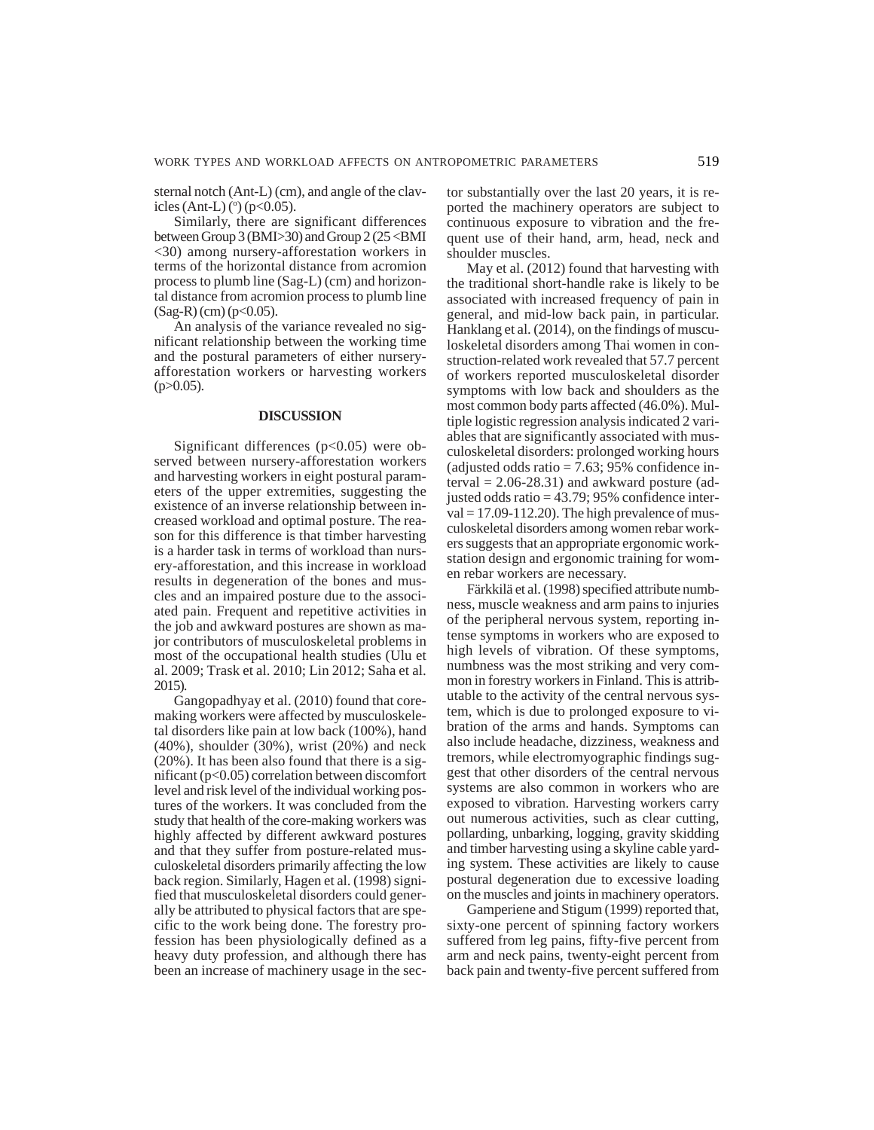sternal notch (Ant-L) (cm), and angle of the clavicles (Ant-L) ( $\degree$ ) (p<0.05).

Similarly, there are significant differences between Group 3 (BMI>30) and Group 2 (25 <BMI <30) among nursery-afforestation workers in terms of the horizontal distance from acromion process to plumb line (Sag-L) (cm) and horizontal distance from acromion process to plumb line  $(Sag-R)(cm)$  (p<0.05).

An analysis of the variance revealed no significant relationship between the working time and the postural parameters of either nurseryafforestation workers or harvesting workers  $(p>0.05)$ .

# **DISCUSSION**

Significant differences  $(p<0.05)$  were observed between nursery-afforestation workers and harvesting workers in eight postural parameters of the upper extremities, suggesting the existence of an inverse relationship between increased workload and optimal posture. The reason for this difference is that timber harvesting is a harder task in terms of workload than nursery-afforestation, and this increase in workload results in degeneration of the bones and muscles and an impaired posture due to the associated pain. Frequent and repetitive activities in the job and awkward postures are shown as major contributors of musculoskeletal problems in most of the occupational health studies (Ulu et al. 2009; Trask et al. 2010; Lin 2012; Saha et al. 2015).

Gangopadhyay et al. (2010) found that coremaking workers were affected by musculoskeletal disorders like pain at low back (100%), hand (40%), shoulder (30%), wrist (20%) and neck (20%). It has been also found that there is a significant (p<0.05) correlation between discomfort level and risk level of the individual working postures of the workers. It was concluded from the study that health of the core-making workers was highly affected by different awkward postures and that they suffer from posture-related musculoskeletal disorders primarily affecting the low back region. Similarly, Hagen et al. (1998) signified that musculoskeletal disorders could generally be attributed to physical factors that are specific to the work being done. The forestry profession has been physiologically defined as a heavy duty profession, and although there has been an increase of machinery usage in the sector substantially over the last 20 years, it is reported the machinery operators are subject to continuous exposure to vibration and the frequent use of their hand, arm, head, neck and shoulder muscles.

May et al. (2012) found that harvesting with the traditional short-handle rake is likely to be associated with increased frequency of pain in general, and mid-low back pain, in particular. Hanklang et al. (2014), on the findings of musculoskeletal disorders among Thai women in construction-related work revealed that 57.7 percent of workers reported musculoskeletal disorder symptoms with low back and shoulders as the most common body parts affected (46.0%). Multiple logistic regression analysis indicated 2 variables that are significantly associated with musculoskeletal disorders: prolonged working hours (adjusted odds ratio  $= 7.63$ ; 95% confidence interval  $= 2.06 - 28.31$ ) and awkward posture (adjusted odds ratio = 43.79; 95% confidence inter $val = 17.09 - 112.20$ . The high prevalence of musculoskeletal disorders among women rebar workers suggests that an appropriate ergonomic workstation design and ergonomic training for women rebar workers are necessary.

Färkkilä et al. (1998) specified attribute numbness, muscle weakness and arm pains to injuries of the peripheral nervous system, reporting intense symptoms in workers who are exposed to high levels of vibration. Of these symptoms, numbness was the most striking and very common in forestry workers in Finland. This is attributable to the activity of the central nervous system, which is due to prolonged exposure to vibration of the arms and hands. Symptoms can also include headache, dizziness, weakness and tremors, while electromyographic findings suggest that other disorders of the central nervous systems are also common in workers who are exposed to vibration. Harvesting workers carry out numerous activities, such as clear cutting, pollarding, unbarking, logging, gravity skidding and timber harvesting using a skyline cable yarding system. These activities are likely to cause postural degeneration due to excessive loading on the muscles and joints in machinery operators.

Gamperiene and Stigum (1999) reported that, sixty-one percent of spinning factory workers suffered from leg pains, fifty-five percent from arm and neck pains, twenty-eight percent from back pain and twenty-five percent suffered from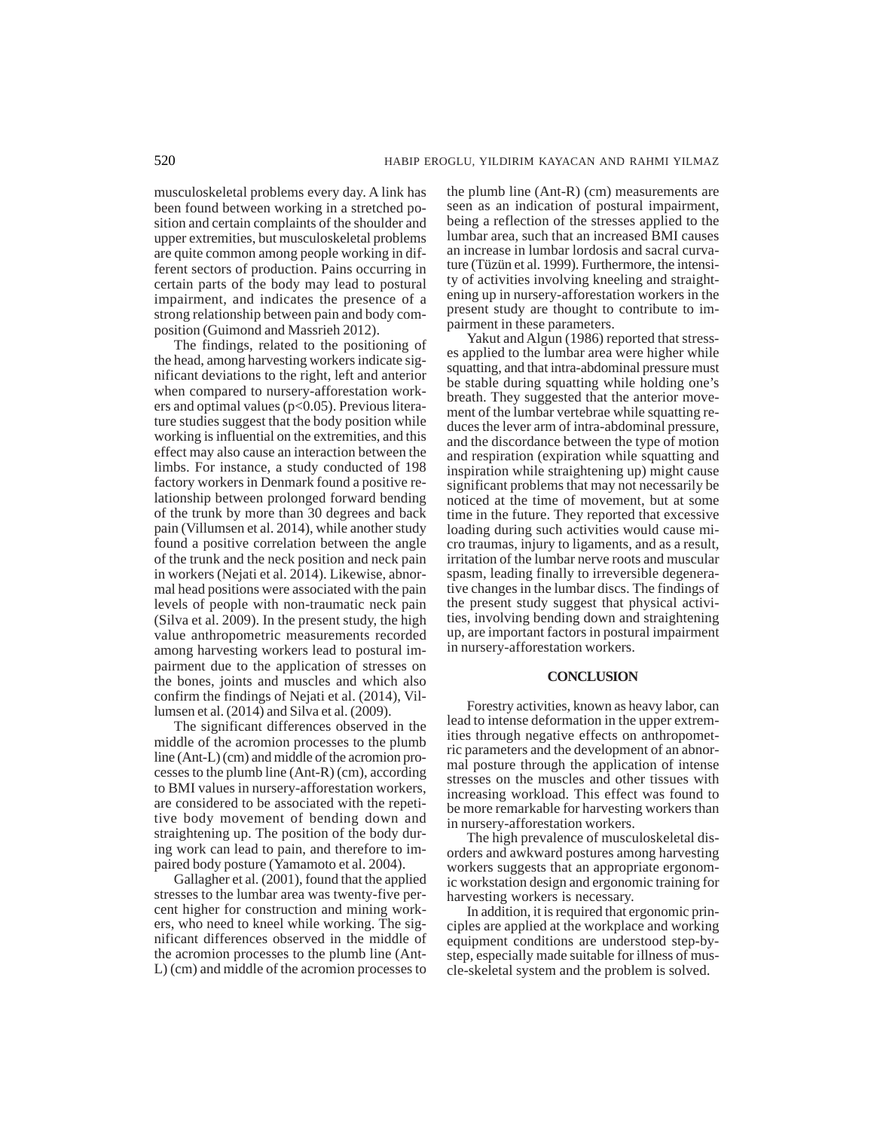musculoskeletal problems every day. A link has been found between working in a stretched position and certain complaints of the shoulder and upper extremities, but musculoskeletal problems are quite common among people working in different sectors of production. Pains occurring in certain parts of the body may lead to postural impairment, and indicates the presence of a strong relationship between pain and body composition (Guimond and Massrieh 2012).

The findings, related to the positioning of the head, among harvesting workers indicate significant deviations to the right, left and anterior when compared to nursery-afforestation workers and optimal values ( $p<0.05$ ). Previous literature studies suggest that the body position while working is influential on the extremities, and this effect may also cause an interaction between the limbs. For instance, a study conducted of 198 factory workers in Denmark found a positive relationship between prolonged forward bending of the trunk by more than 30 degrees and back pain (Villumsen et al. 2014), while another study found a positive correlation between the angle of the trunk and the neck position and neck pain in workers (Nejati et al. 2014). Likewise, abnormal head positions were associated with the pain levels of people with non-traumatic neck pain (Silva et al. 2009). In the present study, the high value anthropometric measurements recorded among harvesting workers lead to postural impairment due to the application of stresses on the bones, joints and muscles and which also confirm the findings of Nejati et al. (2014), Villumsen et al. (2014) and Silva et al. (2009).

The significant differences observed in the middle of the acromion processes to the plumb line (Ant-L) (cm) and middle of the acromion processes to the plumb line (Ant-R) (cm), according to BMI values in nursery-afforestation workers, are considered to be associated with the repetitive body movement of bending down and straightening up. The position of the body during work can lead to pain, and therefore to impaired body posture (Yamamoto et al. 2004).

Gallagher et al. (2001), found that the applied stresses to the lumbar area was twenty-five percent higher for construction and mining workers, who need to kneel while working. The significant differences observed in the middle of the acromion processes to the plumb line (Ant-L) (cm) and middle of the acromion processes to the plumb line (Ant-R) (cm) measurements are seen as an indication of postural impairment, being a reflection of the stresses applied to the lumbar area, such that an increased BMI causes an increase in lumbar lordosis and sacral curvature (Tüzün et al. 1999). Furthermore, the intensity of activities involving kneeling and straightening up in nursery-afforestation workers in the present study are thought to contribute to impairment in these parameters.

Yakut and Algun (1986) reported that stresses applied to the lumbar area were higher while squatting, and that intra-abdominal pressure must be stable during squatting while holding one's breath. They suggested that the anterior movement of the lumbar vertebrae while squatting reduces the lever arm of intra-abdominal pressure, and the discordance between the type of motion and respiration (expiration while squatting and inspiration while straightening up) might cause significant problems that may not necessarily be noticed at the time of movement, but at some time in the future. They reported that excessive loading during such activities would cause micro traumas, injury to ligaments, and as a result, irritation of the lumbar nerve roots and muscular spasm, leading finally to irreversible degenerative changes in the lumbar discs. The findings of the present study suggest that physical activities, involving bending down and straightening up, are important factors in postural impairment in nursery-afforestation workers.

## **CONCLUSION**

Forestry activities, known as heavy labor, can lead to intense deformation in the upper extremities through negative effects on anthropometric parameters and the development of an abnormal posture through the application of intense stresses on the muscles and other tissues with increasing workload. This effect was found to be more remarkable for harvesting workers than in nursery-afforestation workers.

The high prevalence of musculoskeletal disorders and awkward postures among harvesting workers suggests that an appropriate ergonomic workstation design and ergonomic training for harvesting workers is necessary.

In addition, it is required that ergonomic principles are applied at the workplace and working equipment conditions are understood step-bystep, especially made suitable for illness of muscle-skeletal system and the problem is solved.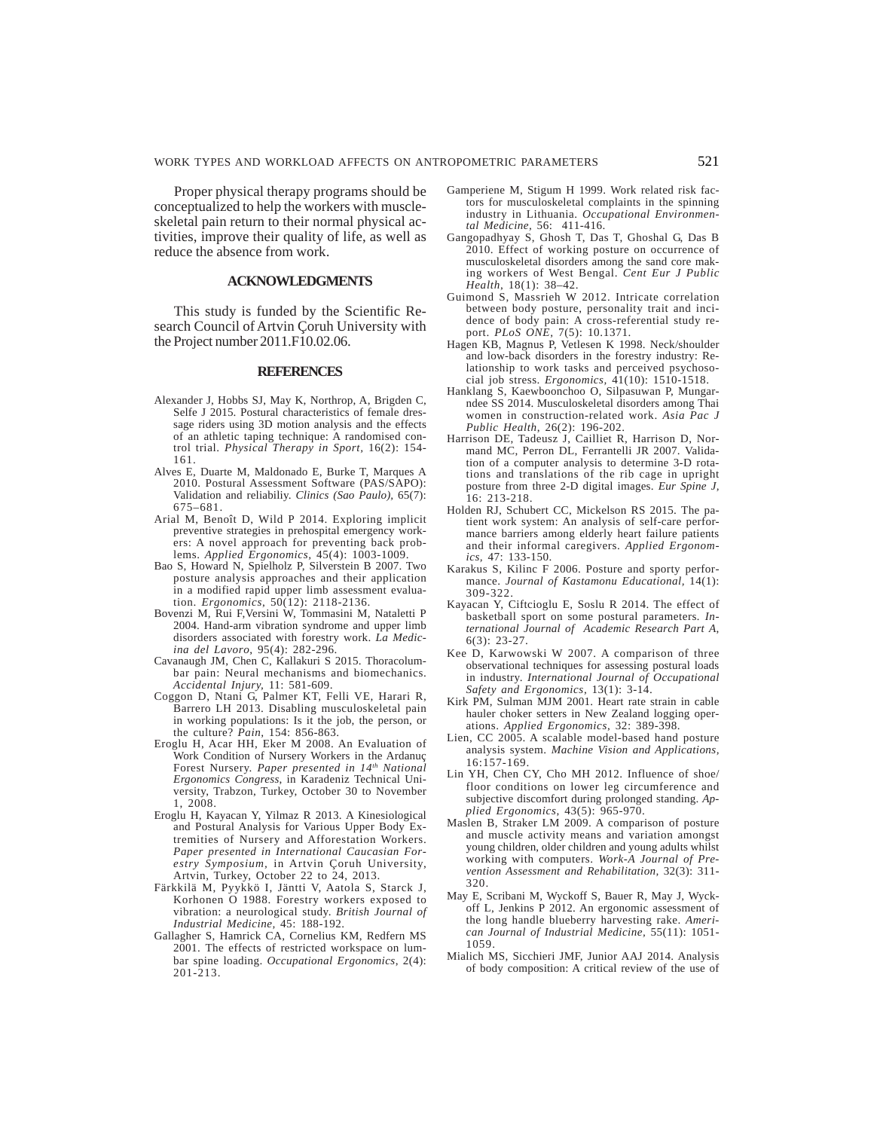Proper physical therapy programs should be conceptualized to help the workers with muscleskeletal pain return to their normal physical activities, improve their quality of life, as well as reduce the absence from work.

# **ACKNOWLEDGMENTS**

This study is funded by the Scientific Research Council of Artvin Çoruh University with the Project number 2011.F10.02.06.

### **REFERENCES**

- Alexander J, Hobbs SJ, May K, Northrop, A, Brigden C, Selfe J 2015. Postural characteristics of female dressage riders using 3D motion analysis and the effects of an athletic taping technique: A randomised control trial. *Physical Therapy in Sport,* 16(2): 154- 161.
- Alves E, Duarte M, Maldonado E, Burke T, Marques A 2010. Postural Assessment Software (PAS/SAPO): Validation and reliabiliy. *Clinics (Sao Paulo),* 65(7): 675–681.
- Arial M, Benoît D, Wild P 2014. Exploring implicit preventive strategies in prehospital emergency workers: A novel approach for preventing back problems. *Applied Ergonomics,* 45(4): 1003-1009.
- Bao S, Howard N, Spielholz P, Silverstein B 2007. Two posture analysis approaches and their application in a modified rapid upper limb assessment evaluation. *Ergonomics*, 50(12): 2118-2136.
- Bovenzi M, Rui F,Versini W, Tommasini M, Nataletti P 2004. Hand-arm vibration syndrome and upper limb disorders associated with forestry work. *La Medicina del Lavoro*, 95(4): 282-296.
- Cavanaugh JM, Chen C, Kallakuri S 2015. Thoracolumbar pain: Neural mechanisms and biomechanics. *Accidental Injury,* 11: 581-609.
- Coggon D, Ntani G, Palmer KT, Felli VE, Harari R, Barrero LH 2013. Disabling musculoskeletal pain in working populations: Is it the job, the person, or the culture? *Pain,* 154: 856-863.
- Eroglu H, Acar HH, Eker M 2008. An Evaluation of Work Condition of Nursery Workers in the Ardanuç Forest Nursery. *Paper presented in 14th National Ergonomics Congress*, in Karadeniz Technical University, Trabzon, Turkey, October 30 to November 1, 2008.
- Eroglu H, Kayacan Y, Yilmaz R 2013. A Kinesiological and Postural Analysis for Various Upper Body Extremities of Nursery and Afforestation Workers. *Paper presented in International Caucasian Forestry Symposium,* in Artvin Çoruh University, Artvin, Turkey, October 22 to 24, 2013.
- Färkkilä M, Pyykkö I, Jäntti V, Aatola S, Starck J, Korhonen O 1988. Forestry workers exposed to vibration: a neurological study. *British Journal of Industrial Medicine,* 45: 188-192.
- Gallagher S, Hamrick CA, Cornelius KM, Redfern MS 2001. The effects of restricted workspace on lumbar spine loading. *Occupational Ergonomics*, 2(4): 201-213.
- Gamperiene M, Stigum H 1999. Work related risk factors for musculoskeletal complaints in the spinning industry in Lithuania. *Occupational Environmental Medicine,* 56: 411-416.
- Gangopadhyay S, Ghosh T, Das T, Ghoshal G, Das B 2010. Effect of working posture on occurrence of musculoskeletal disorders among the sand core making workers of West Bengal. *Cent Eur J Public Health*, 18(1): 38–42.
- Guimond S, Massrieh W 2012. Intricate correlation between body posture, personality trait and incidence of body pain: A cross-referential study report. *PLoS ONE,* 7(5): 10.1371.
- Hagen KB, Magnus P, Vetlesen K 1998. Neck/shoulder and low-back disorders in the forestry industry: Relationship to work tasks and perceived psychosocial job stress. *Ergonomics,* 41(10): 1510-1518.
- Hanklang S, Kaewboonchoo O, Silpasuwan P, Mungarndee SS 2014. Musculoskeletal disorders among Thai women in construction-related work. *Asia Pac J Public Health*, 26(2): 196-202.
- Harrison DE, Tadeusz J, Cailliet R, Harrison D, Normand MC, Perron DL, Ferrantelli JR 2007. Validation of a computer analysis to determine 3-D rotations and translations of the rib cage in upright posture from three 2-D digital images. *Eur Spine J,* 16: 213-218.
- Holden RJ, Schubert CC, Mickelson RS 2015. The patient work system: An analysis of self-care performance barriers among elderly heart failure patients and their informal caregivers. *Applied Ergonomics,* 47: 133-150.
- Karakus S, Kilinc F 2006. Posture and sporty performance. *Journal of Kastamonu Educational,* 14(1): 309-322.
- Kayacan Y, Ciftcioglu E, Soslu R 2014. The effect of basketball sport on some postural parameters*. International Journal of Academic Research Part A*, 6(3): 23-27.
- Kee D, Karwowski W 2007. A comparison of three observational techniques for assessing postural loads in industry. *International Journal of Occupational Safety and Ergonomics*, 13(1): 3-14.
- Kirk PM, Sulman MJM 2001. Heart rate strain in cable hauler choker setters in New Zealand logging operations. *Applied Ergonomics*, 32: 389-398.
- Lien, CC 2005. A scalable model-based hand posture analysis system. *Machine Vision and Applications,* 16:157-169.
- Lin YH, Chen CY, Cho MH 2012. Influence of shoe/ floor conditions on lower leg circumference and subjective discomfort during prolonged standing. *Applied Ergonomics*, 43(5): 965-970.
- Maslen B, Straker LM 2009. A comparison of posture and muscle activity means and variation amongst young children, older children and young adults whilst working with computers. *Work-A Journal of Prevention Assessment and Rehabilitation,* 32(3): 311- 320.
- May E, Scribani M, Wyckoff S, Bauer R, May J, Wyckoff L, Jenkins P 2012. An ergonomic assessment of the long handle blueberry harvesting rake. *American Journal of Industrial Medicine,* 55(11): 1051- 1059.
- Mialich MS, Sicchieri JMF, Junior AAJ 2014. Analysis of body composition: A critical review of the use of